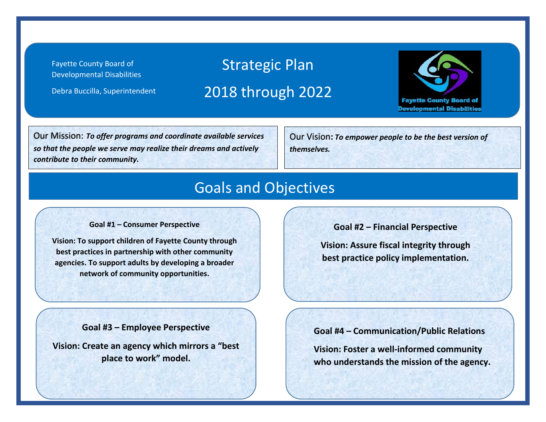Fayette County Board of Developmental Disabilities

Debra Buccilla, Superintendent

# Strategic Plan 2018 through 2022



Our Mission: *To offer programs and coordinate available services so that the people we serve may realize their dreams and actively contribute to their community.*

Our Vision**:** *To empower people to be the best version of themselves.*

#### Goals and Objectives

#### **Goal #1 – Consumer Perspective**

**Vision: To support children of Fayette County through best practices in partnership with other community agencies. To support adults by developing a broader network of community opportunities.**

**Goal #2 – Financial Perspective**

**Vision: Assure fiscal integrity through best practice policy implementation.**

**Goal #3 – Employee Perspective**

**Vision: Create an agency which mirrors a "best place to work" model.**

**Goal #4 – Communication/Public Relations**

**Vision: Foster a well-informed community who understands the mission of the agency.**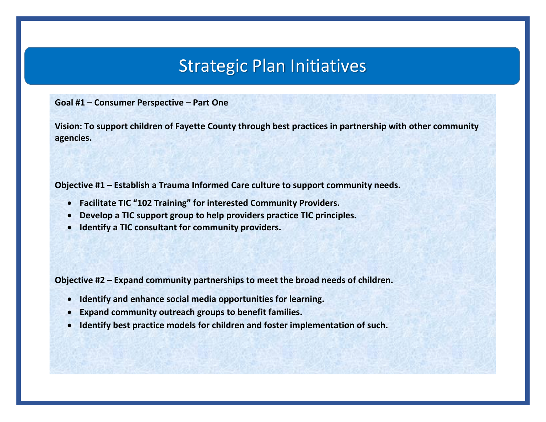**Goal #1 – Consumer Perspective – Part One**

**Vision: To support children of Fayette County through best practices in partnership with other community agencies.** 

**Objective #1 – Establish a Trauma Informed Care culture to support community needs.**

- **Facilitate TIC "102 Training" for interested Community Providers.**
- **Develop a TIC support group to help providers practice TIC principles.**
- **Identify a TIC consultant for community providers.**

**Objective #2 – Expand community partnerships to meet the broad needs of children.**

- **Identify and enhance social media opportunities for learning.**
- **Expand community outreach groups to benefit families.**
- **Identify best practice models for children and foster implementation of such.**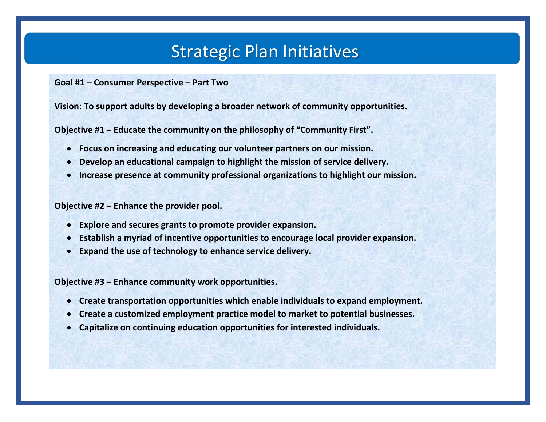**Goal #1 – Consumer Perspective – Part Two**

**Vision: To support adults by developing a broader network of community opportunities.**

**Objective #1 – Educate the community on the philosophy of "Community First".**

- **Focus on increasing and educating our volunteer partners on our mission.**
- **Develop an educational campaign to highlight the mission of service delivery.**
- **Increase presence at community professional organizations to highlight our mission.**

**Objective #2 – Enhance the provider pool.**

- **Explore and secures grants to promote provider expansion.**
- **Establish a myriad of incentive opportunities to encourage local provider expansion.**
- **Expand the use of technology to enhance service delivery.**

**Objective #3 – Enhance community work opportunities.**

- **Create transportation opportunities which enable individuals to expand employment.**
- **Create a customized employment practice model to market to potential businesses.**
- **Capitalize on continuing education opportunities for interested individuals.**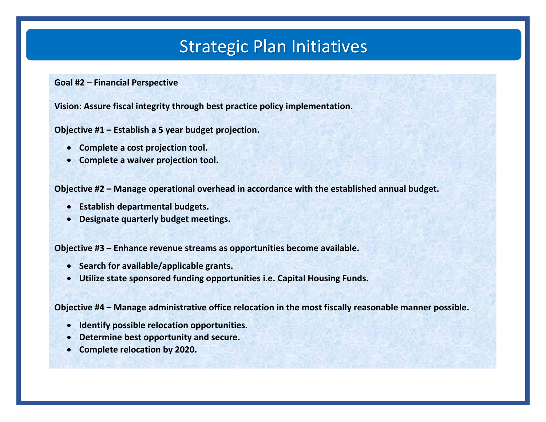**Goal #2 – Financial Perspective**

**Vision: Assure fiscal integrity through best practice policy implementation.**

**Objective #1 – Establish a 5 year budget projection.**

- **Complete a cost projection tool.**
- **Complete a waiver projection tool.**

**Objective #2 – Manage operational overhead in accordance with the established annual budget.**

- **Establish departmental budgets.**
- **Designate quarterly budget meetings.**

**Objective #3 – Enhance revenue streams as opportunities become available.**

- **Search for available/applicable grants.**
- **Utilize state sponsored funding opportunities i.e. Capital Housing Funds.**

**Objective #4 – Manage administrative office relocation in the most fiscally reasonable manner possible.**

- **Identify possible relocation opportunities.**
- **Determine best opportunity and secure.**
- **Complete relocation by 2020.**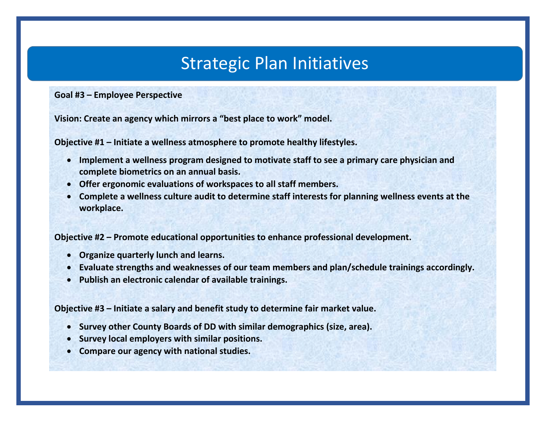**Goal #3 – Employee Perspective**

**Vision: Create an agency which mirrors a "best place to work" model.**

**Objective #1 – Initiate a wellness atmosphere to promote healthy lifestyles.**

- **Implement a wellness program designed to motivate staff to see a primary care physician and complete biometrics on an annual basis.**
- **Offer ergonomic evaluations of workspaces to all staff members.**
- **Complete a wellness culture audit to determine staff interests for planning wellness events at the workplace.**

**Objective #2 – Promote educational opportunities to enhance professional development.**

- **Organize quarterly lunch and learns.**
- **Evaluate strengths and weaknesses of our team members and plan/schedule trainings accordingly.**
- **Publish an electronic calendar of available trainings.**

**Objective #3 – Initiate a salary and benefit study to determine fair market value.**

- **Survey other County Boards of DD with similar demographics (size, area).**
- **Survey local employers with similar positions.**
- **Compare our agency with national studies.**